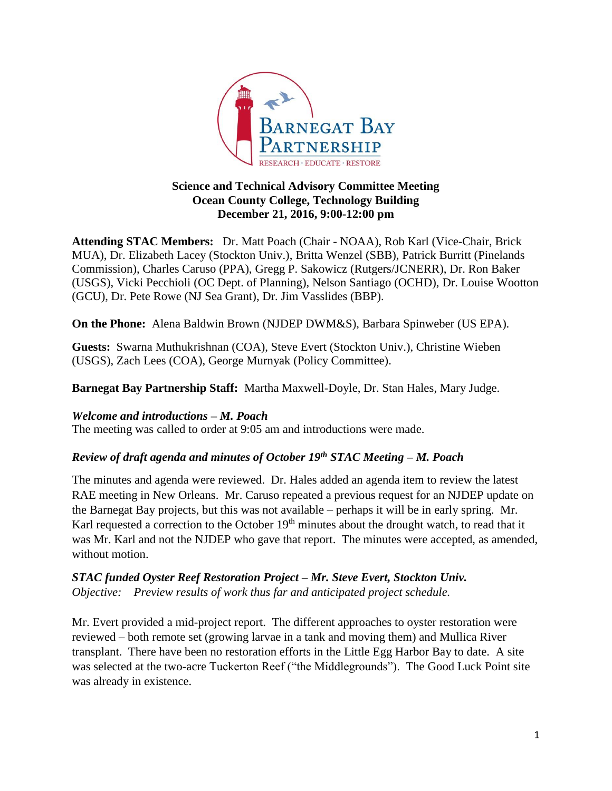

#### **Science and Technical Advisory Committee Meeting Ocean County College, Technology Building December 21, 2016, 9:00-12:00 pm**

**Attending STAC Members:** Dr. Matt Poach (Chair - NOAA), Rob Karl (Vice-Chair, Brick MUA), Dr. Elizabeth Lacey (Stockton Univ.), Britta Wenzel (SBB), Patrick Burritt (Pinelands Commission), Charles Caruso (PPA), Gregg P. Sakowicz (Rutgers/JCNERR), Dr. Ron Baker (USGS), Vicki Pecchioli (OC Dept. of Planning), Nelson Santiago (OCHD), Dr. Louise Wootton (GCU), Dr. Pete Rowe (NJ Sea Grant), Dr. Jim Vasslides (BBP).

**On the Phone:** Alena Baldwin Brown (NJDEP DWM&S), Barbara Spinweber (US EPA).

**Guests:** Swarna Muthukrishnan (COA), Steve Evert (Stockton Univ.), Christine Wieben (USGS), Zach Lees (COA), George Murnyak (Policy Committee).

**Barnegat Bay Partnership Staff:** Martha Maxwell-Doyle, Dr. Stan Hales, Mary Judge.

*Welcome and introductions – M. Poach* The meeting was called to order at 9:05 am and introductions were made.

## *Review of draft agenda and minutes of October 19th STAC Meeting – M. Poach*

The minutes and agenda were reviewed. Dr. Hales added an agenda item to review the latest RAE meeting in New Orleans. Mr. Caruso repeated a previous request for an NJDEP update on the Barnegat Bay projects, but this was not available – perhaps it will be in early spring. Mr. Karl requested a correction to the October  $19<sup>th</sup>$  minutes about the drought watch, to read that it was Mr. Karl and not the NJDEP who gave that report. The minutes were accepted, as amended, without motion.

*STAC funded Oyster Reef Restoration Project – Mr. Steve Evert, Stockton Univ. Objective: Preview results of work thus far and anticipated project schedule.*

Mr. Evert provided a mid-project report. The different approaches to oyster restoration were reviewed – both remote set (growing larvae in a tank and moving them) and Mullica River transplant. There have been no restoration efforts in the Little Egg Harbor Bay to date. A site was selected at the two-acre Tuckerton Reef ("the Middlegrounds"). The Good Luck Point site was already in existence.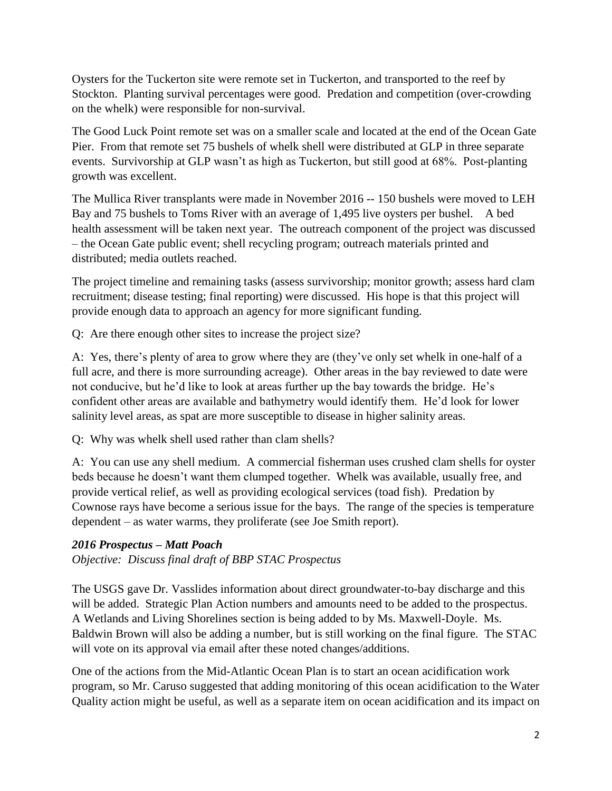Oysters for the Tuckerton site were remote set in Tuckerton, and transported to the reef by Stockton. Planting survival percentages were good. Predation and competition (over-crowding on the whelk) were responsible for non-survival.

The Good Luck Point remote set was on a smaller scale and located at the end of the Ocean Gate Pier. From that remote set 75 bushels of whelk shell were distributed at GLP in three separate events. Survivorship at GLP wasn't as high as Tuckerton, but still good at 68%. Post-planting growth was excellent.

The Mullica River transplants were made in November 2016 -- 150 bushels were moved to LEH Bay and 75 bushels to Toms River with an average of 1,495 live oysters per bushel. A bed health assessment will be taken next year. The outreach component of the project was discussed – the Ocean Gate public event; shell recycling program; outreach materials printed and distributed; media outlets reached.

The project timeline and remaining tasks (assess survivorship; monitor growth; assess hard clam recruitment; disease testing; final reporting) were discussed. His hope is that this project will provide enough data to approach an agency for more significant funding.

Q: Are there enough other sites to increase the project size?

A: Yes, there's plenty of area to grow where they are (they've only set whelk in one-half of a full acre, and there is more surrounding acreage). Other areas in the bay reviewed to date were not conducive, but he'd like to look at areas further up the bay towards the bridge. He's confident other areas are available and bathymetry would identify them. He'd look for lower salinity level areas, as spat are more susceptible to disease in higher salinity areas.

Q: Why was whelk shell used rather than clam shells?

A: You can use any shell medium. A commercial fisherman uses crushed clam shells for oyster beds because he doesn't want them clumped together. Whelk was available, usually free, and provide vertical relief, as well as providing ecological services (toad fish). Predation by Cownose rays have become a serious issue for the bays. The range of the species is temperature dependent – as water warms, they proliferate (see Joe Smith report).

## *2016 Prospectus – Matt Poach*

*Objective: Discuss final draft of BBP STAC Prospectus*

The USGS gave Dr. Vasslides information about direct groundwater-to-bay discharge and this will be added. Strategic Plan Action numbers and amounts need to be added to the prospectus. A Wetlands and Living Shorelines section is being added to by Ms. Maxwell-Doyle. Ms. Baldwin Brown will also be adding a number, but is still working on the final figure. The STAC will vote on its approval via email after these noted changes/additions.

One of the actions from the Mid-Atlantic Ocean Plan is to start an ocean acidification work program, so Mr. Caruso suggested that adding monitoring of this ocean acidification to the Water Quality action might be useful, as well as a separate item on ocean acidification and its impact on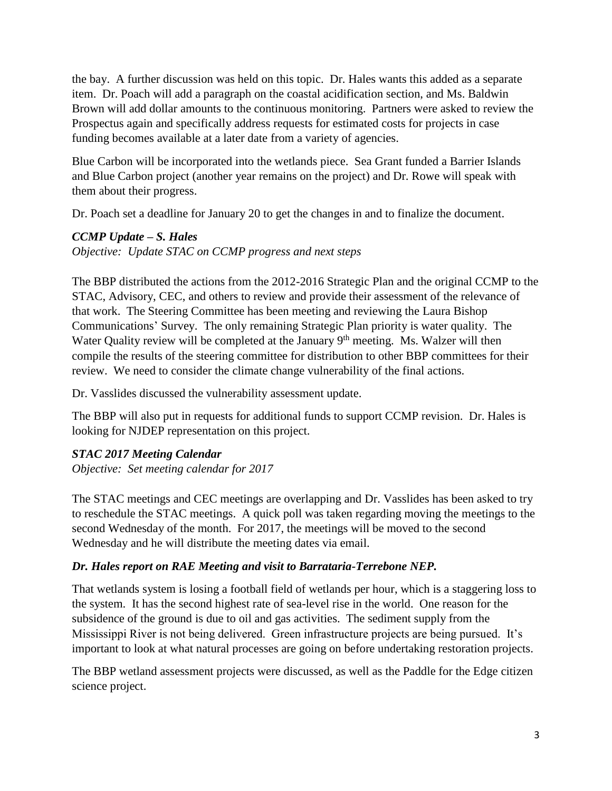the bay. A further discussion was held on this topic. Dr. Hales wants this added as a separate item. Dr. Poach will add a paragraph on the coastal acidification section, and Ms. Baldwin Brown will add dollar amounts to the continuous monitoring. Partners were asked to review the Prospectus again and specifically address requests for estimated costs for projects in case funding becomes available at a later date from a variety of agencies.

Blue Carbon will be incorporated into the wetlands piece. Sea Grant funded a Barrier Islands and Blue Carbon project (another year remains on the project) and Dr. Rowe will speak with them about their progress.

Dr. Poach set a deadline for January 20 to get the changes in and to finalize the document.

# *CCMP Update – S. Hales*

*Objective: Update STAC on CCMP progress and next steps*

The BBP distributed the actions from the 2012-2016 Strategic Plan and the original CCMP to the STAC, Advisory, CEC, and others to review and provide their assessment of the relevance of that work. The Steering Committee has been meeting and reviewing the Laura Bishop Communications' Survey. The only remaining Strategic Plan priority is water quality. The Water Quality review will be completed at the January 9<sup>th</sup> meeting. Ms. Walzer will then compile the results of the steering committee for distribution to other BBP committees for their review. We need to consider the climate change vulnerability of the final actions.

Dr. Vasslides discussed the vulnerability assessment update.

The BBP will also put in requests for additional funds to support CCMP revision. Dr. Hales is looking for NJDEP representation on this project.

## *STAC 2017 Meeting Calendar*

*Objective: Set meeting calendar for 2017*

The STAC meetings and CEC meetings are overlapping and Dr. Vasslides has been asked to try to reschedule the STAC meetings. A quick poll was taken regarding moving the meetings to the second Wednesday of the month. For 2017, the meetings will be moved to the second Wednesday and he will distribute the meeting dates via email.

## *Dr. Hales report on RAE Meeting and visit to Barrataria-Terrebone NEP.*

That wetlands system is losing a football field of wetlands per hour, which is a staggering loss to the system. It has the second highest rate of sea-level rise in the world. One reason for the subsidence of the ground is due to oil and gas activities. The sediment supply from the Mississippi River is not being delivered. Green infrastructure projects are being pursued. It's important to look at what natural processes are going on before undertaking restoration projects.

The BBP wetland assessment projects were discussed, as well as the Paddle for the Edge citizen science project.